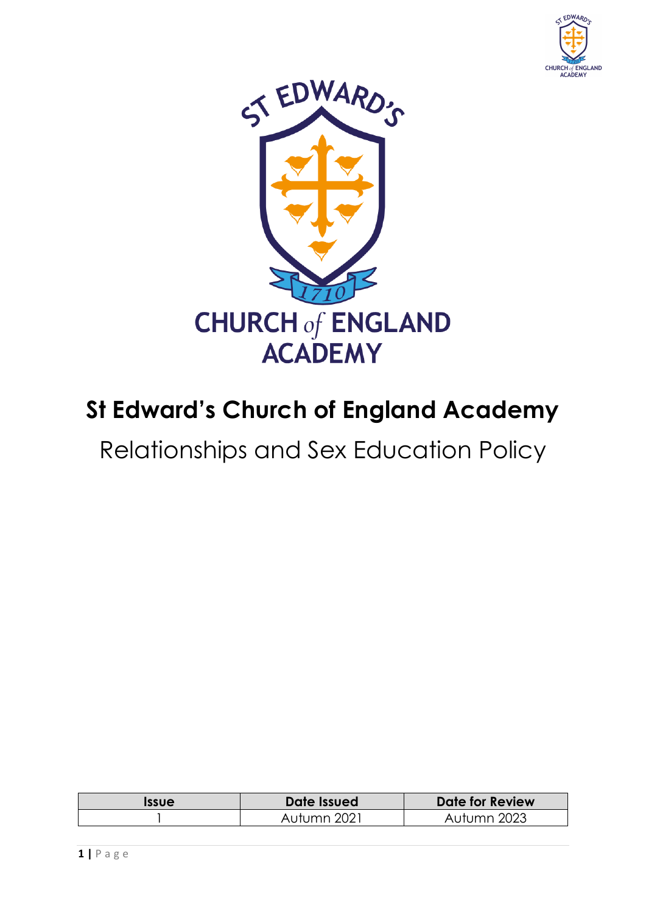



# **St Edward's Church of England Academy**

Relationships and Sex Education Policy

| <b>Issue</b> | Date Issued | Date for Review |
|--------------|-------------|-----------------|
|              | Autumn 2021 | Autumn 2023     |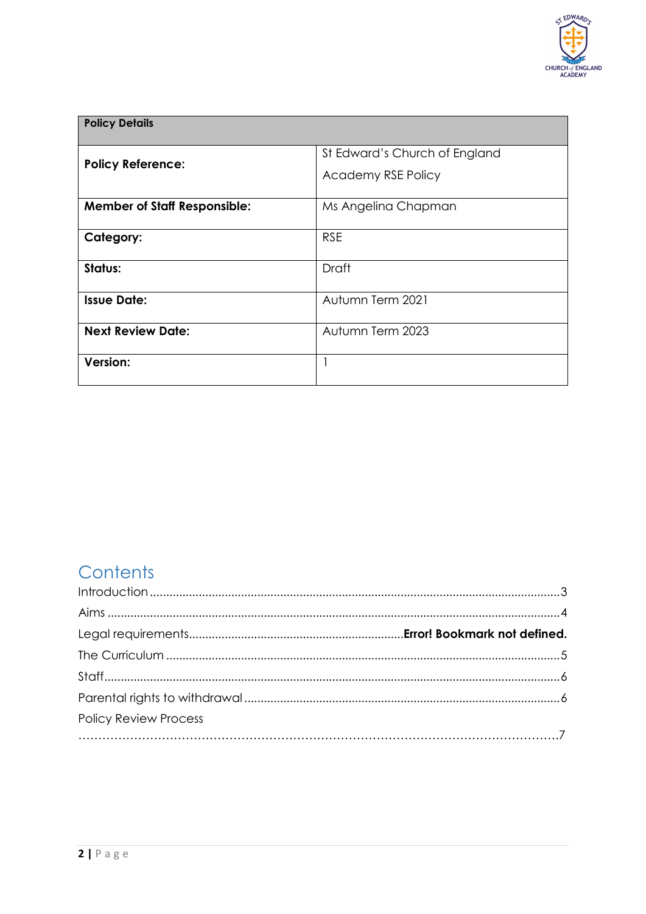

| <b>Policy Details</b>               |                                                            |  |
|-------------------------------------|------------------------------------------------------------|--|
| <b>Policy Reference:</b>            | St Edward's Church of England<br><b>Academy RSE Policy</b> |  |
| <b>Member of Staff Responsible:</b> | Ms Angelina Chapman                                        |  |
| Category:                           | <b>RSE</b>                                                 |  |
| Status:                             | Draft                                                      |  |
| <b>Issue Date:</b>                  | Autumn Term 2021                                           |  |
| <b>Next Review Date:</b>            | Autumn Term 2023                                           |  |
| <b>Version:</b>                     |                                                            |  |

# **Contents**

| <b>Policy Review Process</b> |  |
|------------------------------|--|
|                              |  |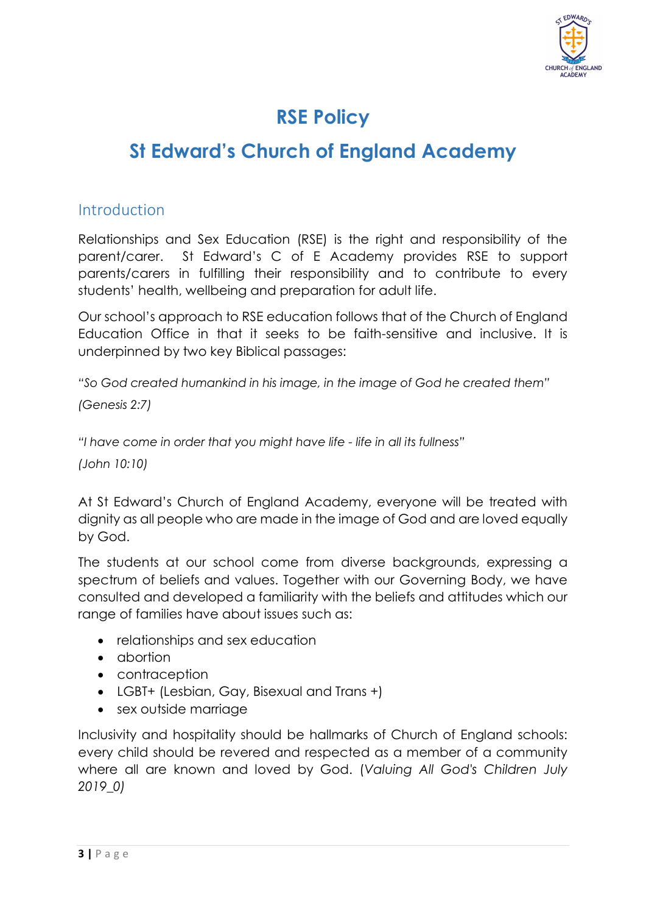

# **RSE Policy**

# **St Edward's Church of England Academy**

#### Introduction

Relationships and Sex Education (RSE) is the right and responsibility of the parent/carer. St Edward's C of E Academy provides RSE to support parents/carers in fulfilling their responsibility and to contribute to every students' health, wellbeing and preparation for adult life.

Our school's approach to RSE education follows that of the Church of England Education Office in that it seeks to be faith-sensitive and inclusive. It is underpinned by two key Biblical passages:

*"So God created humankind in his image, in the image of God he created them" (Genesis 2:7)*

*"I have come in order that you might have life - life in all its fullness"* 

*(John 10:10)*

At St Edward's Church of England Academy, everyone will be treated with dignity as all people who are made in the image of God and are loved equally by God.

The students at our school come from diverse backgrounds, expressing a spectrum of beliefs and values. Together with our Governing Body, we have consulted and developed a familiarity with the beliefs and attitudes which our range of families have about issues such as:

- relationships and sex education
- abortion
- contraception
- LGBT+ (Lesbian, Gay, Bisexual and Trans +)
- sex outside marriage

Inclusivity and hospitality should be hallmarks of Church of England schools: every child should be revered and respected as a member of a community where all are known and loved by God. (*Valuing All God's Children July 2019\_0)*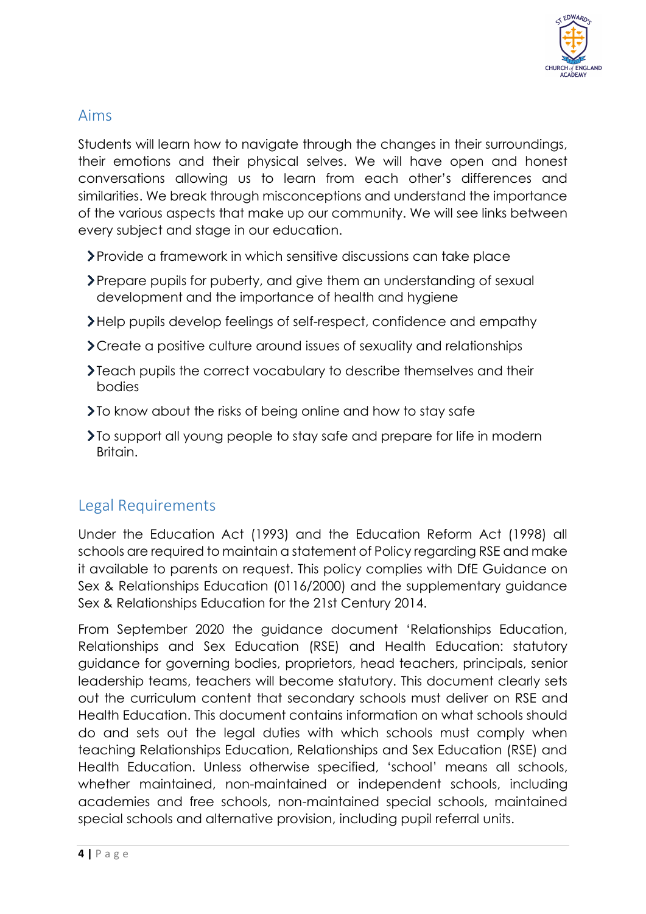

## Aims

Students will learn how to navigate through the changes in their surroundings, their emotions and their physical selves. We will have open and honest conversations allowing us to learn from each other's differences and similarities. We break through misconceptions and understand the importance of the various aspects that make up our community. We will see links between every subject and stage in our education.

- Provide a framework in which sensitive discussions can take place
- Prepare pupils for puberty, and give them an understanding of sexual development and the importance of health and hygiene
- Help pupils develop feelings of self-respect, confidence and empathy
- Create a positive culture around issues of sexuality and relationships
- Teach pupils the correct vocabulary to describe themselves and their bodies
- **>To know about the risks of being online and how to stay safe**
- To support all young people to stay safe and prepare for life in modern Britain.

# Legal Requirements

Under the Education Act (1993) and the Education Reform Act (1998) all schools are required to maintain a statement of Policy regarding RSE and make it available to parents on request. This policy complies with DfE Guidance on Sex & Relationships Education (0116/2000) and the supplementary guidance Sex & Relationships Education for the 21st Century 2014.

From September 2020 the guidance document 'Relationships Education, Relationships and Sex Education (RSE) and Health Education: statutory guidance for governing bodies, proprietors, head teachers, principals, senior leadership teams, teachers will become statutory. This document clearly sets out the curriculum content that secondary schools must deliver on RSE and Health Education. This document contains information on what schools should do and sets out the legal duties with which schools must comply when teaching Relationships Education, Relationships and Sex Education (RSE) and Health Education. Unless otherwise specified, 'school' means all schools, whether maintained, non-maintained or independent schools, including academies and free schools, non-maintained special schools, maintained special schools and alternative provision, including pupil referral units.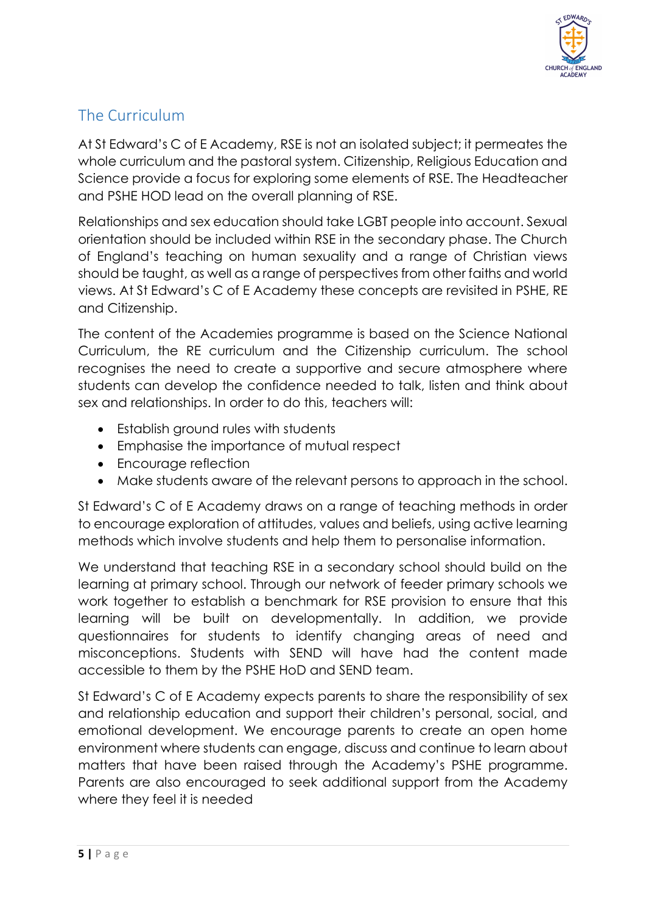

# The Curriculum

At St Edward's C of E Academy, RSE is not an isolated subject; it permeates the whole curriculum and the pastoral system. Citizenship, Religious Education and Science provide a focus for exploring some elements of RSE. The Headteacher and PSHE HOD lead on the overall planning of RSE.

Relationships and sex education should take LGBT people into account. Sexual orientation should be included within RSE in the secondary phase. The Church of England's teaching on human sexuality and a range of Christian views should be taught, as well as a range of perspectives from other faiths and world views. At St Edward's C of E Academy these concepts are revisited in PSHE, RE and Citizenship.

The content of the Academies programme is based on the Science National Curriculum, the RE curriculum and the Citizenship curriculum. The school recognises the need to create a supportive and secure atmosphere where students can develop the confidence needed to talk, listen and think about sex and relationships. In order to do this, teachers will:

- Establish ground rules with students
- Emphasise the importance of mutual respect
- Encourage reflection
- Make students aware of the relevant persons to approach in the school.

St Edward's C of E Academy draws on a range of teaching methods in order to encourage exploration of attitudes, values and beliefs, using active learning methods which involve students and help them to personalise information.

We understand that teaching RSE in a secondary school should build on the learning at primary school. Through our network of feeder primary schools we work together to establish a benchmark for RSE provision to ensure that this learning will be built on developmentally. In addition, we provide questionnaires for students to identify changing areas of need and misconceptions. Students with SEND will have had the content made accessible to them by the PSHE HoD and SEND team.

St Edward's C of E Academy expects parents to share the responsibility of sex and relationship education and support their children's personal, social, and emotional development. We encourage parents to create an open home environment where students can engage, discuss and continue to learn about matters that have been raised through the Academy's PSHE programme. Parents are also encouraged to seek additional support from the Academy where they feel it is needed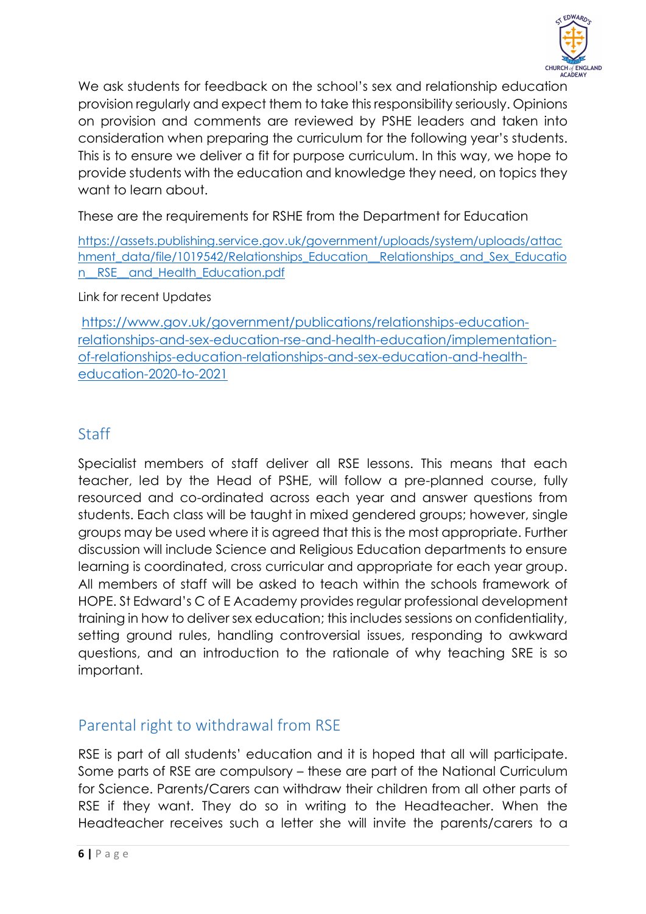

We ask students for feedback on the school's sex and relationship education provision regularly and expect them to take this responsibility seriously. Opinions on provision and comments are reviewed by PSHE leaders and taken into consideration when preparing the curriculum for the following year's students. This is to ensure we deliver a fit for purpose curriculum. In this way, we hope to provide students with the education and knowledge they need, on topics they want to learn about.

These are the requirements for RSHE from the Department for Education

[https://assets.publishing.service.gov.uk/government/uploads/system/uploads/attac](https://assets.publishing.service.gov.uk/government/uploads/system/uploads/attachment_data/file/1019542/Relationships_Education__Relationships_and_Sex_Education__RSE__and_Health_Education.pdf) [hment\\_data/file/1019542/Relationships\\_Education\\_\\_Relationships\\_and\\_Sex\\_Educatio](https://assets.publishing.service.gov.uk/government/uploads/system/uploads/attachment_data/file/1019542/Relationships_Education__Relationships_and_Sex_Education__RSE__and_Health_Education.pdf) n RSE and Health Education.pdf

Link for recent Updates

[https://www.gov.uk/government/publications/relationships-education](https://www.gov.uk/government/publications/relationships-education-relationships-and-sex-education-rse-and-health-education/implementation-of-relationships-education-relationships-and-sex-education-and-health-education-2020-to-2021)[relationships-and-sex-education-rse-and-health-education/implementation](https://www.gov.uk/government/publications/relationships-education-relationships-and-sex-education-rse-and-health-education/implementation-of-relationships-education-relationships-and-sex-education-and-health-education-2020-to-2021)[of-relationships-education-relationships-and-sex-education-and-health](https://www.gov.uk/government/publications/relationships-education-relationships-and-sex-education-rse-and-health-education/implementation-of-relationships-education-relationships-and-sex-education-and-health-education-2020-to-2021)[education-2020-to-2021](https://www.gov.uk/government/publications/relationships-education-relationships-and-sex-education-rse-and-health-education/implementation-of-relationships-education-relationships-and-sex-education-and-health-education-2020-to-2021)

## Staff

Specialist members of staff deliver all RSE lessons. This means that each teacher, led by the Head of PSHE, will follow a pre-planned course, fully resourced and co-ordinated across each year and answer questions from students. Each class will be taught in mixed gendered groups; however, single groups may be used where it is agreed that this is the most appropriate. Further discussion will include Science and Religious Education departments to ensure learning is coordinated, cross curricular and appropriate for each year group. All members of staff will be asked to teach within the schools framework of HOPE. St Edward's C of E Academy provides regular professional development training in how to deliver sex education; this includes sessions on confidentiality, setting ground rules, handling controversial issues, responding to awkward questions, and an introduction to the rationale of why teaching SRE is so important.

## Parental right to withdrawal from RSE

RSE is part of all students' education and it is hoped that all will participate. Some parts of RSE are compulsory – these are part of the National Curriculum for Science. Parents/Carers can withdraw their children from all other parts of RSE if they want. They do so in writing to the Headteacher. When the Headteacher receives such a letter she will invite the parents/carers to a